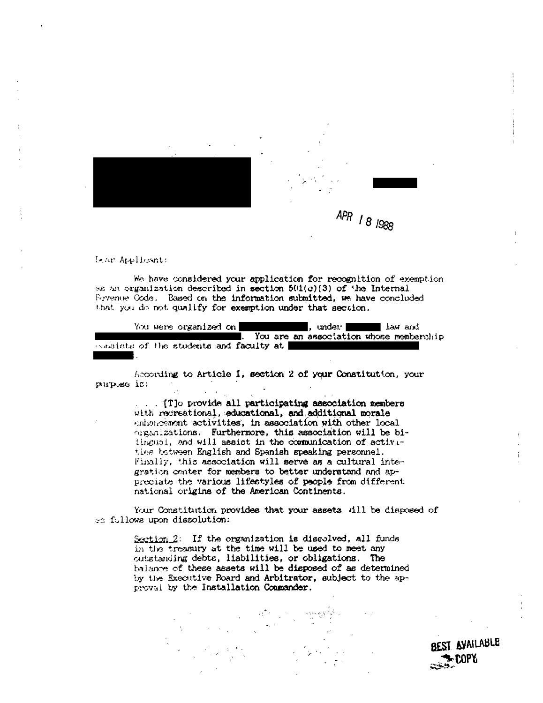

Lear Applicant:

We have considered your application for recognition of exemption sa an organization described in section 501(c)(3) of the Internal Sevenue Code. Based on the information submitted, we have concluded that you do not qualify for exemption under that section.

You were organized on , under The law and . You are an association whose membership consists of the students and faculty at

According to Article I, section 2 of your Constitution, your purples is:

> ... (The provide all participating association members with recreational, educational, and additional morale enhancement activities, in association with other local organizations. Furthermore, this association will be bilingual, and will assist in the communication of activities tetween English and Spanish speaking personnel. Finally, this association will serve as a cultural integration center for members to better understand and appreciate the various lifestyles of people from different national origins of the American Continents.

Your Constitution provides that your assets fill be disposed of es follows upon dissolution:

> Section.2: If the organization is discolved, all funds in the treasury at the time will be used to meet any outstanding debts, liabilities, or obligations. The balance of these assets will be disposed of as determined by the Executive Board and Arbitrator, subject to the approval by the Installation Commander.

> > BEST AVAILABLE r COPY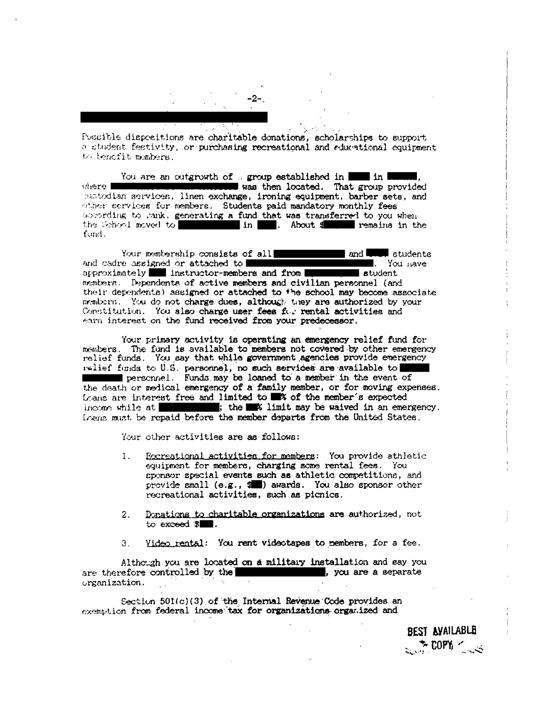-2-

Possible dispositions are charitable donations, scholarships to support a student festivity, or purchasing recreational and educational equipment to benefit members.

You are an outgrowth of s group established in **the in the set of the set of the set of the set of the set of the set of the set of the set of the set of the set of the set of the set of the set of the set of the set of th** where **The** was then located. That group provided matodian services, linen exchange, ironing equipment, barber sets, and other services for members. Students paid mandatory monthly fees assording to .ank, generating a fund that was transferred to you when the School moved to **we are all that the set of the set of the set of the set of the set of the set of the set of the set of the set of the set of the s** in R. About f remains in the fund.

Your membership consists of all  $\mathsf{and} \ \blacksquare$  $\blacksquare$  students and cadre assigned or attached to  $\blacksquare$ . You have  $\alpha$ rproximately instructor-members and from student members. Dependents of active members and civilian personnel (and their dependents) assigned or attached to the school may become associate members. You do not charge dues, although they are authorized by your Constitution. You also charge user fees for rental activities and earn interest on the fund received from your predecessor.

Your primary activity is operating an emergency relief fund for members. The fund is available to members not covered by other emergency relief funds. You say that while government agencies provide emergency wellef funds to U.S. personnel, no such services are available to **Example 1.** Funds may be loaned to a member in the event of the death or medical emergency of a family member, or for moving expenses. Loans are interest free and limited to **18%** of the member's expected income while at  $\blacksquare$ ; the  $\blacksquare$  % limit may be waived in an emergency. Loens must be repaid before the member departs from the United States.

Your other activities are as follows:

- Recreational activities for members: You provide athletic  $1$ . equipment for members, charging some rental fees. You sponsor special events such as athletic competitions, and provide small (e.g., \$1) awards. You also sponsor other recreational activities, such as picnics.
- Donations to charitable organizations are authorized, not  $\overline{z}$ . to exceed  $\mathbf{S}$ .
- Video rental: You rent videotapes to members, for a fee.  $3<sub>1</sub>$

Although you are located on a military installation and say you are therefore controlled by the , you are a separate organization.

Section 501(c)(3) of the Internal Revenue Code provides an exemption from federal income tax for organizations organized and

> BEST AVAILABLE  $\sim 100$ PY  $\sim$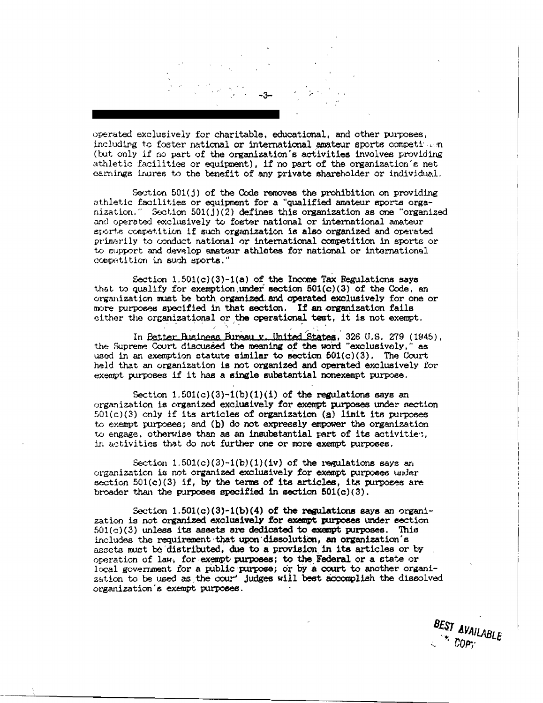operated exclusively for charitable, educational, and other purposes, including to foster national or international amateur sports competition (but only if no part of the organization's activities involves providing athletic facilities or equipment), if no part of the organization's net carnings ingres to the benefit of any private shareholder or individual.

Section  $501(j)$  of the Code removes the prohibition on providing athletic facilities or equipment for a "qualified amateur sports organization." Section  $501(j)(2)$  defines this organization as one "organized" and operated exclusively to foster national or international amateur sports competition if such organization is also organized and operated primarily to conduct national or international competition in sports or to support and develop amateur athletes for national or international competition in such sports."

Section 1.501(c)(3)-1(a) of the Income Tax Regulations says that to qualify for exemption under section 501(c)(3) of the Code, an organization must be both organized and operated exclusively for one or more purposes specified in that section. If an organization fails either the organizational or the operational test, it is not exempt.

In Petter Business Bureau v. United States, 326 U.S. 279 (1945). the Supreme Court discussed the meaning of the word "exclusively. 88 used in an exemption statute similar to section 501(c)(3). The Court held that an organization is not organized and operated exclusively for exempt purposes if it has a single substantial nonexempt purpose.

Section  $1.501(c)(3)-1(b)(1)(i)$  of the regulations says an organization is organized exclusively for exempt purposes under section  $501(c)(3)$  only if its articles of organization (a) limit its purposes to exempt purposes; and (b) do not expressly empower the organization to engage, otherwise than as an insubstantial part of its activities. in activities that do not further one or more exempt purposes.

Section  $1.501(c)(3)-1(b)(1)(iv)$  of the regulations says an organization is not organized exclusively for exempt purposes under section  $501(c)(3)$  if, by the terms of its articles, its purposes are broader than the purposes specified in section  $501(c)(3)$ .

Section  $1.501(c)(3)-1(b)(4)$  of the regulations says an organization is not organized exclusively for exempt purposes under section  $501(c)(3)$  unless its assets are dedicated to exempt purposes. This includes the requirement that upon dissolution, an organization's assets must be distributed, due to a provision in its articles or by operation of law, for exempt purposes; to the Federal or a state or local government for a public purpose; or by a court to another organization to be used as the cour' judges will best accomplish the dissolved organization's exempt purposes.

> BEST AVAILABLE  $COP$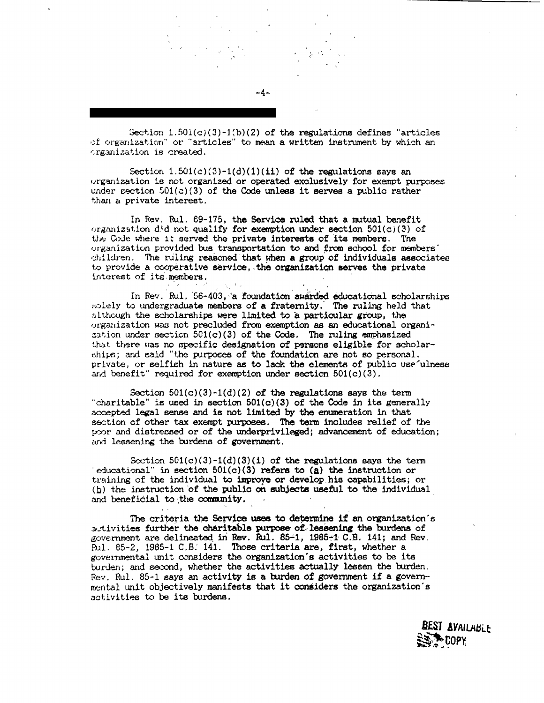Section  $1.501(c)(3)-1(b)(2)$  of the regulations defines "articles" of organization" or "articles" to mean a written instrument by which an organization is created.

-4-

Section  $1.501(c)(3)-1(d)(1)(ii)$  of the regulations says an organization is not organized or operated exclusively for exempt purposes under section  $501(c)(3)$  of the Code unless it serves a public rather than a private interest.

In Rev. Rul. 69-175, the Service ruled that a mutual benefit organization  $d/d$  not qualify for exemption under section  $501(c)(3)$  of the Code where it served the private interests of its members. The organization provided bus transportation to and from school for members' children. The ruling reasoned that when a group of individuals associates to provide a cooperative service, the organization serves the private interest of its members.

In Rev. Rul. 56-403, a foundation awarded educational scholarships solely to undergraduate members of a fraternity. The ruling held that although the scholarships were limited to a particular group, the organization was not precluded from exemption as an educational organization under section  $501(c)(3)$  of the Code. The ruling emphasized that there was no specific designation of persons eligible for scholarships; and said "the purposes of the foundation are not so personal, private, or selfish in nature as to lack the elements of public use ulness and benefit" required for exemption under section  $501(c)(3)$ .

Section  $501(c)(3)-1(d)(2)$  of the regulations says the term "charitable" is used in section  $501(c)(3)$  of the Code in its generally accepted legal sense and is not limited by the enumeration in that section of other tax exempt purposes. The term includes relief of the poor and distressed or of the underprivileged; advancement of education; and lessening the burdens of government.

Section  $501(c)(3)-1(d)(3)(1)$  of the regulations says the term "educational" in section  $501(c)(3)$  refers to (a) the instruction or training of the individual to improve or develop his capabilities; or (b) the instruction of the public on subjects useful to the individual and beneficial to the community.

The criteria the Service uses to determine if an organization's autivities further the charitable purpose of lessening the burdens of government are delineated in Rev. Rul. 85-1, 1985-1 C.B. 141; and Rev. Rul. 85-2, 1985-1 C.B. 141. Those criteria are, first, whether a governmental unit considers the organization's activities to be its turden; and second, whether the activities actually lessen the burden. Rev. Rul. 85-1 gays an activity is a burden of government if a governmental unit objectively manifests that it considers the organization's activities to be its burdens.

> **BEST AVAILABLE** N COPY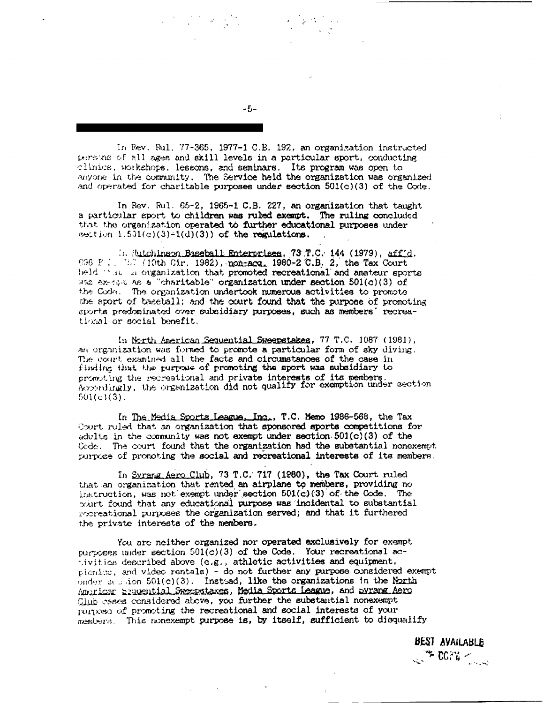In Rev. Rul. 77-365, 1977-1 C.B. 192, an organization instructed persons of all ages and skill levels in a particular sport, conducting clinics, workshops, lessons, and seminars. Its program was open to anyone in the community. The Service held the organization was organized and operated for charitable purposes under section 501(c)(3) of the Code.

In Rev. Rul. 65-2, 1965-1 C.B. 227, an organization that taught a particular sport to children was ruled exempt. The ruling concluded that the organization operated to further educational purposes under section  $1.501(c)(3)-1(d)(3))$  of the regulations.

. (bitchingon Baseball Enterprises, 73 T.C. 144 (1979), aff d. 696 F.1. (1916 Cir. 1982), non-acq. 1980-2 C.B. 2, the Tax Court held "at a organization that promoted recreational and amateur sports was execute as a "charitable" organization under section  $501(c)(3)$  of the Code. The organization undertook numerous activities to promote the sport of baseball; and the court found that the purpose of promoting sports predominated over subsidiary purposes, such as members' recreational or social benefit.

In North American Sequential Sweepstakes, 77 T.C. 1087 (1981). an organization was formed to promote a particular form of sky diving. The court examined all the facts and circumstances of the case in finding that the purpose of promoting the sport was subsidiary to promoting the recreational and private interests of its members.<br>Accordingly, the organization did not qualify for exemption under section  $501(c)(3)$ .

In The Media Sports League, Inc., T.C. Memo 1986-568, the Tax Court ruled that an organization that sponsored sports competitions for adults in the community was not exempt under section  $501(c)(3)$  of the Code. The court found that the organization had the substantial nonexempt purpose of promoting the social and recreational interests of its members,

In Syrang Aero Club, 73 T.C. 717 (1980), the Tax Court ruled that an organization that rented an airplane to members, providing no instruction, was not exampt under section 501(c)(3) of the Code. The court found that any educational purpose was incidental to substantial recreational purposes the organization served; and that it furthered the private interests of the members.

You are neither organized nor operated exclusively for exempt purposes under section 501(c)(3) of the Code. Your recreational activities described above (e.g., athletic activities and equipment, pionice, and video rentals) - do not further any purpose considered exempt onder session  $501(c)(3)$ . Instead, like the organizations in the North American Sequential Sweepstakes, Media Sports League, and Syrang Aero Club esses considered above, you further the substantial nonexempt purpose of promoting the recreational and social interests of your members. This nonexempt purpose is, by itself, sufficient to disqualify

> **BEST AVAILABLE THE COPY AND STATE**

 $-5-$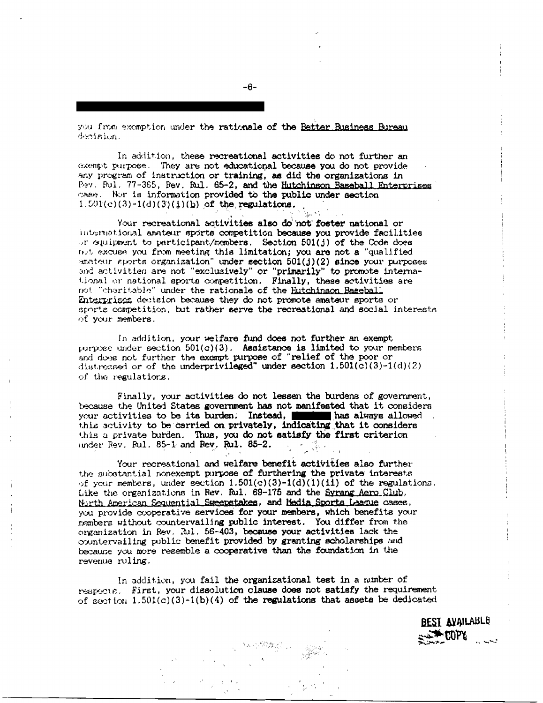you from exemption under the rationale of the Better Business Bureau decision.

In addition, these recreational activities do not further an exempt purpose. They are not educational because you do not provide any program of instruction or training, as did the organizations in Pev. Rul. 77-365, Rev. Rul. 65-2, and the Hutchinson Baseball Enterprises case. Nor is information provided to the public under section  $1.501(c)(3)-1(d)(3)(1)(b)$  of the regulations.

Your recreational activities also do'not foster national or international annieur sports competition because you provide facilities or equipment to participant/members. Section 501(j) of the Code does not excuse you from meeting this limitation; you are not a "qualified anateur sports organization" under section 501(j)(2) since your purposes and activities are not "exclusively" or "primarily" to promote international or national sports competition. Finally, these activities are not "charitable" under the rationale of the Hutchinson Baseball Enterprises devision because they do not promote amateur sports or sports competition, but rather serve the recreational and social interests of your members.

In addition, your welfare fund does not further an exempt purpose under section  $501(c)(3)$ . Assistance is limited to your members and dose not further the exempt purpose of "relief of the poor or distressed or of the underprivileged" under section 1.501(c)(3)-1(d)(2) of the regulations.

Finally, your activities do not lessen the burdens of government, because the United States government has not manifested that it considers your activities to be its burden. Instead, which has always allowed this activity to be carried on privately, indicating that it considers this a private burden. Thus, you do not satisfy the first criterion under Rev. Rul. 85-1 and Rev. Rul. 85-2.

Your recreational and welfare benefit activities also further the substantial nonexempt purpose of furthering the private interests of your members, under section  $1.501(c)(3)-1(d)(1)(11)$  of the regulations. Like the organizations in Rev. Rul. 69-175 and the Syrang Aero Club. North American Sequential Sweepstakes, and Media Sports League cases, you provide cooperative services for your members, which benefits your members without countervailing public interest. You differ from the organization in Rev. Rul. 56-403, because your activities lack the countervailing public benefit provided by granting scholarships and because you more regemble a cooperative than the foundation in the revenue ruling.

In addition, you fail the organizational test in a number of respects. First, your dissolution clause does not satisfy the requirement of eaction  $1.501(c)(3)-1(b)(4)$  of the regulations that assets be dedicated

> **BEST AYAILABLE**  $\mathcal{F}$  there.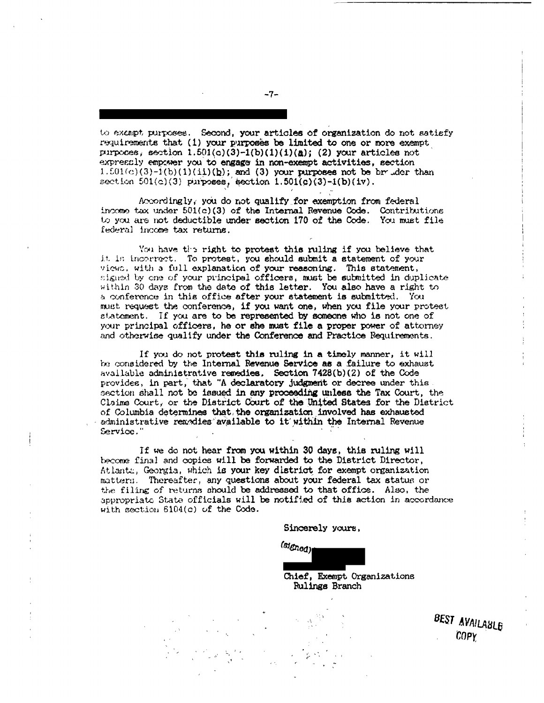to exempt purposes. Second, your articles of organization do not satisfy requirements that (1) your purposes be limited to one or more exempt purposes, section  $1.501(c)(3)-1(b)(1)(1)(a)$ ; (2) your articles not expressly empower you to engage in non-exempt activities, section  $1.501(c)(3)-i(b)(1)(1i)(b)$ ; and (3) your purposes not be br .der than section  $501(c)(3)$  purposes, section  $1.501(c)(3)-1(b)(1v)$ .

Accordingly, you do not qualify for exemption from federal income tax under 501(c)(3) of the Internal Revenue Code. Contributions<br>to you are not deductible under section 170 of the Code. You must file federal income tax returns.

You have the right to protest this ruling if you believe that it is incorrect. To protest, you should submit a statement of your views, with a full explanation of your reasoning. This statement, signed by one of your principal officers, must be submitted in duplicate within 30 days from the date of this letter. You also have a right to a conference in this office after your statement is submitted. You must request the conference, if you want one, when you file your protest statement. If you are to be represented by someone who is not one of your principal officers, he or she must file a proper power of attorney and otherwise qualify under the Conference and Practice Requirements.

If you do not protest this ruling in a timely manner, it will be considered by the Internal Revenue Service as a failure to exhaust available administrative remedies. Section 7428(b)(2) of the Code provides, in part, that "A declaratory judgment or decree under this section shall not be issued in any proceeding unless the Tax Court, the Claims Court, or the District Court of the United States for the District of Columbia determines that, the organization involved has exhausted administrative remodies available to it within the Internal Revenue Service.'

If we do not hear from you within 30 days, this ruling will become final and copies will be forwarded to the District Director, Atlanta, Georgia, which is your key district for exempt organization matters. Thereafter, any questions about your federal tax status or the filing of returns should be addressed to that office. Also, the appropriate State officials will be notified of this action in accordance with section 6104(c) of the Code.

Sincerely yours,

(signed)

Chief, Exempt Organizations Rulings Branch

BEST AVAILABLE  $COPY$ 

 $-7-$